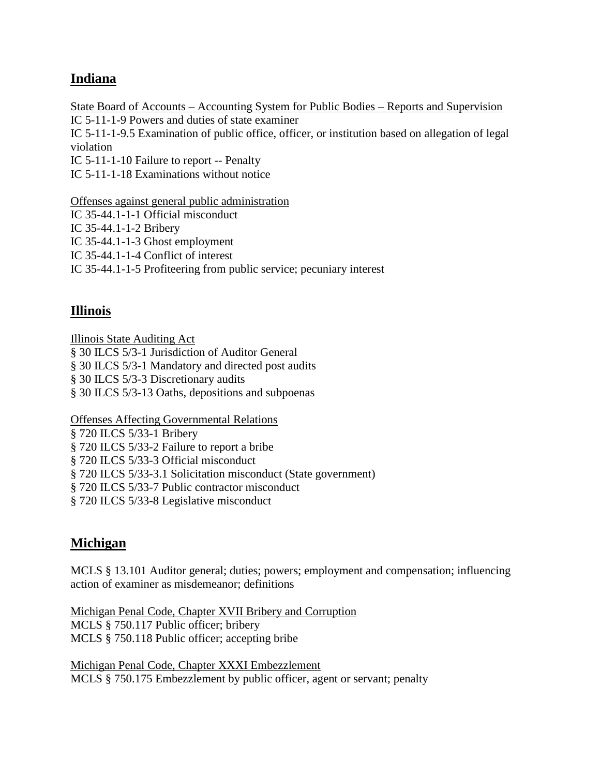# **Indiana**

State Board of Accounts – Accounting System for Public Bodies – Reports and Supervision IC 5-11-1-9 Powers and duties of state examiner IC 5-11-1-9.5 Examination of public office, officer, or institution based on allegation of legal violation IC 5-11-1-10 Failure to report -- Penalty IC 5-11-1-18 Examinations without notice

Offenses against general public administration

IC 35-44.1-1-1 Official misconduct

IC 35-44.1-1-2 Bribery

IC 35-44.1-1-3 Ghost employment

IC 35-44.1-1-4 Conflict of interest

IC 35-44.1-1-5 Profiteering from public service; pecuniary interest

### **Illinois**

Illinois State Auditing Act § 30 ILCS 5/3-1 Jurisdiction of Auditor General § 30 ILCS 5/3-1 Mandatory and directed post audits § 30 ILCS 5/3-3 Discretionary audits § 30 ILCS 5/3-13 Oaths, depositions and subpoenas

Offenses Affecting Governmental Relations

§ 720 ILCS 5/33-1 Bribery

§ 720 ILCS 5/33-2 Failure to report a bribe

§ 720 ILCS 5/33-3 Official misconduct

§ 720 ILCS 5/33-3.1 Solicitation misconduct (State government)

§ 720 ILCS 5/33-7 Public contractor misconduct

§ 720 ILCS 5/33-8 Legislative misconduct

# **Michigan**

MCLS § 13.101 Auditor general; duties; powers; employment and compensation; influencing action of examiner as misdemeanor; definitions

Michigan Penal Code, Chapter XVII Bribery and Corruption MCLS § 750.117 Public officer; bribery MCLS § 750.118 Public officer; accepting bribe

Michigan Penal Code, Chapter XXXI Embezzlement MCLS § 750.175 Embezzlement by public officer, agent or servant; penalty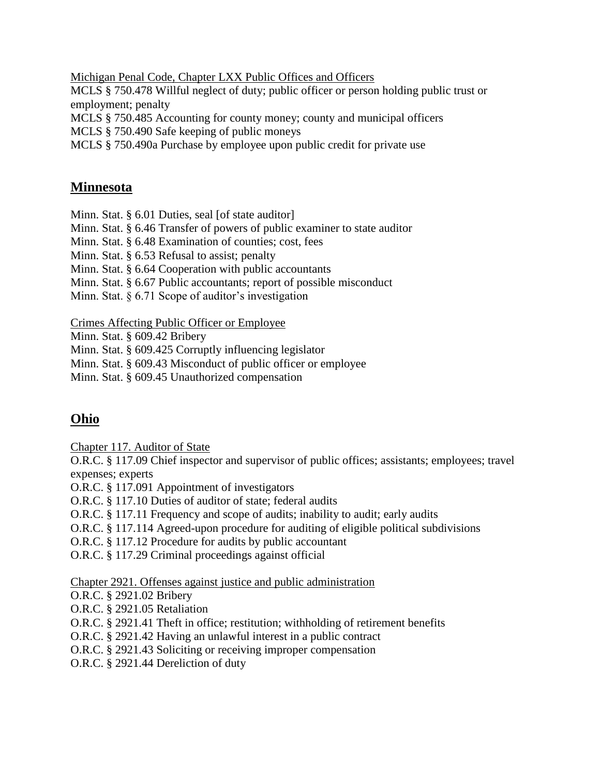Michigan Penal Code, Chapter LXX Public Offices and Officers

MCLS § 750.478 Willful neglect of duty; public officer or person holding public trust or employment; penalty

MCLS § 750.485 Accounting for county money; county and municipal officers

MCLS § 750.490 Safe keeping of public moneys

MCLS § 750.490a Purchase by employee upon public credit for private use

### **Minnesota**

Minn. Stat. § 6.01 Duties, seal [of state auditor]

Minn. Stat. § 6.46 Transfer of powers of public examiner to state auditor

Minn. Stat. § 6.48 Examination of counties; cost, fees

Minn. Stat. § 6.53 Refusal to assist; penalty

Minn. Stat. § 6.64 Cooperation with public accountants

Minn. Stat. § 6.67 Public accountants; report of possible misconduct

Minn. Stat. § 6.71 Scope of auditor's investigation

#### Crimes Affecting Public Officer or Employee

Minn. Stat. § 609.42 Bribery

Minn. Stat. § 609.425 Corruptly influencing legislator

Minn. Stat. § 609.43 Misconduct of public officer or employee

Minn. Stat. § 609.45 Unauthorized compensation

# **Ohio**

Chapter 117. Auditor of State

O.R.C. § 117.09 Chief inspector and supervisor of public offices; assistants; employees; travel expenses; experts

O.R.C. § 117.091 Appointment of investigators

O.R.C. § 117.10 Duties of auditor of state; federal audits

O.R.C. § 117.11 Frequency and scope of audits; inability to audit; early audits

O.R.C. § 117.114 Agreed-upon procedure for auditing of eligible political subdivisions

O.R.C. § 117.12 Procedure for audits by public accountant

O.R.C. § 117.29 Criminal proceedings against official

Chapter 2921. Offenses against justice and public administration

O.R.C. § 2921.02 Bribery

O.R.C. § 2921.05 Retaliation

O.R.C. § 2921.41 Theft in office; restitution; withholding of retirement benefits

O.R.C. § 2921.42 Having an unlawful interest in a public contract

O.R.C. § 2921.43 Soliciting or receiving improper compensation

O.R.C. § 2921.44 Dereliction of duty